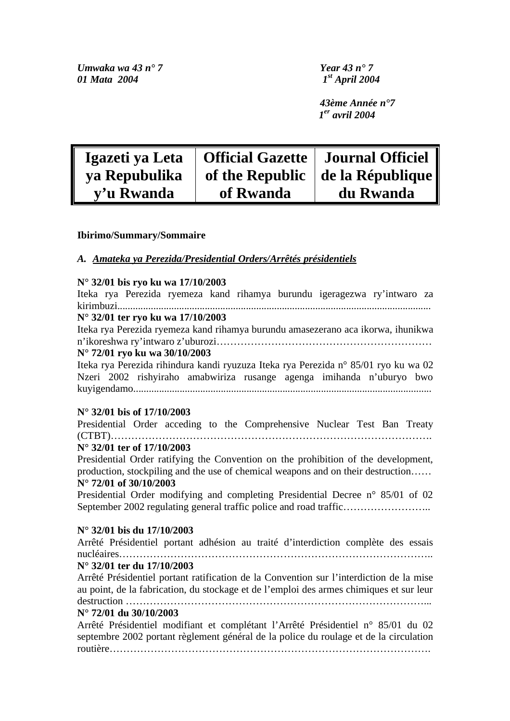*Umwaka wa 43 n° 7 Year 43 n° 7 01 Mata 2004 1st April 2004* 

*43ème Année n°7 1er avril 2004* 

| Igazeti ya Leta | <b>Official Gazette   Journal Officiel</b> |                                          |
|-----------------|--------------------------------------------|------------------------------------------|
| ya Repubulika   |                                            | of the Republic $\vert$ de la République |
| v'u Rwanda      | of Rwanda                                  | du Rwanda                                |

#### **Ibirimo/Summary/Sommaire**

#### *A. Amateka ya Perezida/Presidential Orders/Arrêtés présidentiels*

#### **N° 32/01 bis ryo ku wa 17/10/2003**

Iteka rya Perezida ryemeza kand rihamya burundu igeragezwa ry'intwaro za kirimbuzi.......................................................................................................................... **N° 32/01 ter ryo ku wa 17/10/2003**  Iteka rya Perezida ryemeza kand rihamya burundu amasezerano aca ikorwa, ihunikwa n'ikoreshwa ry'intwaro z'uburozi……………………………………………………… **N° 72/01 ryo ku wa 30/10/2003**  Iteka rya Perezida rihindura kandi ryuzuza Iteka rya Perezida n° 85/01 ryo ku wa 02 Nzeri 2002 rishyiraho amabwiriza rusange agenga imihanda n'uburyo bwo kuyigendamo....................................................................................................................

#### **N° 32/01 bis of 17/10/2003**

Presidential Order acceding to the Comprehensive Nuclear Test Ban Treaty (CTBT)………………………………………………………………………………….

#### **N° 32/01 ter of 17/10/2003**

Presidential Order ratifying the Convention on the prohibition of the development, production, stockpiling and the use of chemical weapons and on their destruction…… **N° 72/01 of 30/10/2003** 

Presidential Order modifying and completing Presidential Decree n° 85/01 of 02 September 2002 regulating general traffic police and road traffic………………………….

#### **N° 32/01 bis du 17/10/2003**

Arrêté Présidentiel portant adhésion au traité d'interdiction complète des essais nucléaires………………………………………………………………………………..

#### **N° 32/01 ter du 17/10/2003**

Arrêté Présidentiel portant ratification de la Convention sur l'interdiction de la mise au point, de la fabrication, du stockage et de l'emploi des armes chimiques et sur leur destruction ……………………………………………………………………………...

### **N° 72/01 du 30/10/2003**

Arrêté Présidentiel modifiant et complétant l'Arrêté Présidentiel n° 85/01 du 02 septembre 2002 portant règlement général de la police du roulage et de la circulation routière………………………………………………………………………………….